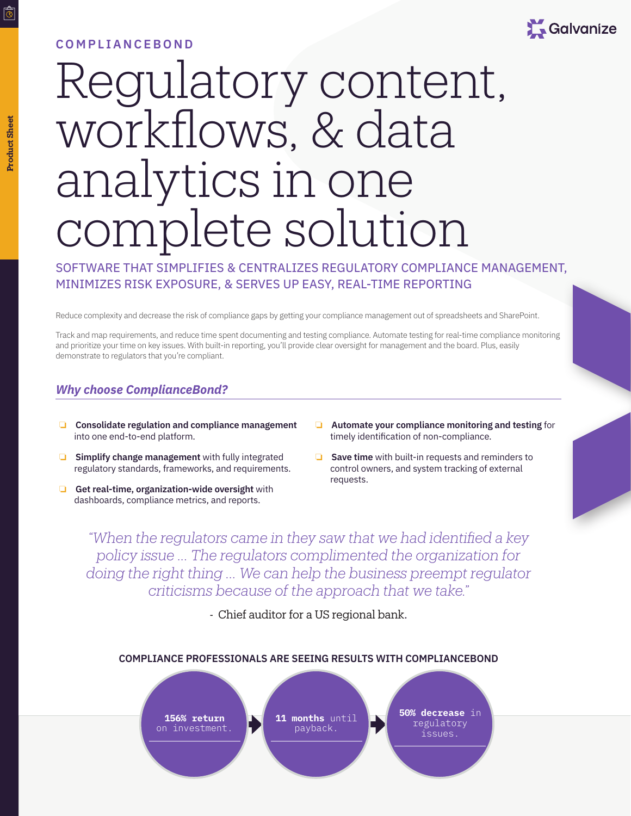## **COMPLIANCEBOND**



# Regulatory content, workflows, & data analytics in one complete solution

SOFTWARE THAT SIMPLIFIES & CENTRALIZES REGULATORY COMPLIANCE MANAGEMENT, MINIMIZES RISK EXPOSURE, & SERVES UP EASY, REAL-TIME REPORTING

Reduce complexity and decrease the risk of compliance gaps by getting your compliance management out of spreadsheets and SharePoint.

Track and map requirements, and reduce time spent documenting and testing compliance. Automate testing for real-time compliance monitoring and prioritize your time on key issues. With built-in reporting, you'll provide clear oversight for management and the board. Plus, easily demonstrate to regulators that you're compliant.

## *Why choose ComplianceBond?*

- ❏ **Consolidate regulation and compliance management** into one end-to-end platform.
- ❏ **Simplify change management** with fully integrated regulatory standards, frameworks, and requirements.
- ❏ **Get real-time, organization-wide oversight** with dashboards, compliance metrics, and reports.
- ❏ **Automate your compliance monitoring and testing** for timely identification of non-compliance.
- ❏ **Save time** with built-in requests and reminders to control owners, and system tracking of external requests.

*"When the regulators came in they saw that we had identified a key policy issue ... The regulators complimented the organization for doing the right thing … We can help the business preempt regulator criticisms because of the approach that we take."*

- Chief auditor for a US regional bank.



## **Product SheetProduct Sheet**